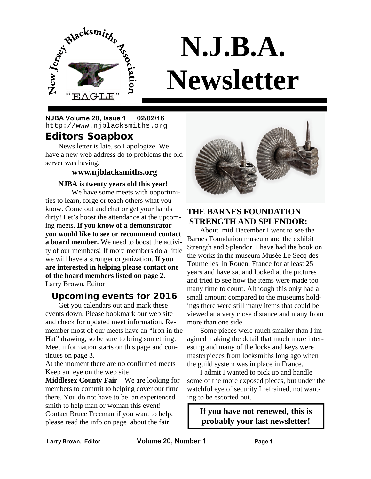

# **N.J.B.A. Newsletter**

**NJBA Volume 20, Issue 1 02/02/16** http://www.njblacksmiths.org

#### **Editors Soapbox**

News letter is late, so I apologize. We have a new web address do to problems the old server was having,

#### **www.njblacksmiths.org**

#### **NJBA is twenty years old this year!**

 We have some meets with opportunities to learn, forge or teach others what you know. Come out and chat or get your hands dirty! Let's boost the attendance at the upcoming meets. **If you know of a demonstrator you would like to see or recommend contact a board member.** We need to boost the activity of our members! If more members do a little we will have a stronger organization. **If you are interested in helping please contact one of the board members listed on page 2.**  Larry Brown, Editor

#### **Upcoming events for 2016**

Get you calendars out and mark these events down. Please bookmark our web site and check for updated meet information. Remember most of our meets have an "Iron in the Hat" drawing, so be sure to bring something. Meet information starts on this page and continues on page 3.

At the moment there are no confirmed meets Keep an eye on the web site

**Middlesex County Fair**—We are looking for members to commit to helping cover our time there. You do not have to be an experienced smith to help man or woman this event! Contact Bruce Freeman if you want to help, please read the info on page about the fair.



#### **THE BARNES FOUNDATION STRENGTH AND SPLENDOR:**

 About mid December I went to see the Barnes Foundation museum and the exhibit Strength and Splendor. I have had the book on the works in the museum Musée Le Secq des Tournelles in Rouen, France for at least 25 years and have sat and looked at the pictures and tried to see how the items were made too many time to count. Although this only had a small amount compared to the museums holdings there were still many items that could be viewed at a very close distance and many from more than one side.

 Some pieces were much smaller than I imagined making the detail that much more interesting and many of the locks and keys were masterpieces from locksmiths long ago when the guild system was in place in France.

 I admit I wanted to pick up and handle some of the more exposed pieces, but under the watchful eye of security I refrained, not wanting to be escorted out.

**If you have not renewed, this is probably your last newsletter!**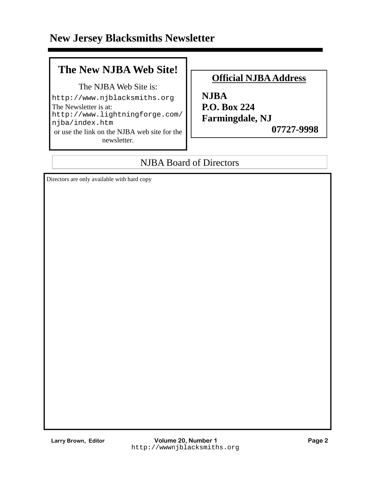### **The New NJBA Web Site!**

The NJBA Web Site is:

http://www.njblacksmiths.org The Newsletter is at: http://www.lightningforge.com/ njba/index.htm or use the link on the NJBA web site for the newsletter.

#### **Official NJBA Address**

**NJBA P.O. Box 224 Farmingdale, NJ** 

 **07727-9998** 

#### NJBA Board of Directors

Directors are only available with hard copy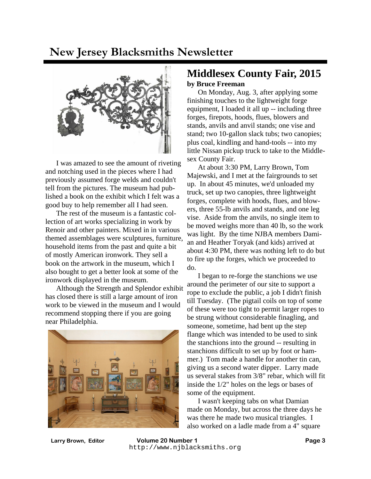

 I was amazed to see the amount of riveting and notching used in the pieces where I had previously assumed forge welds and couldn't tell from the pictures. The museum had published a book on the exhibit which I felt was a good buy to help remember all I had seen.

 The rest of the museum is a fantastic collection of art works specializing in work by Renoir and other painters. Mixed in in various themed assemblages were sculptures, furniture, household items from the past and quite a bit of mostly American ironwork. They sell a book on the artwork in the museum, which I also bought to get a better look at some of the ironwork displayed in the museum.

 Although the Strength and Splendor exhibit has closed there is still a large amount of iron work to be viewed in the museum and I would recommend stopping there if you are going near Philadelphia.



#### **Middlesex County Fair, 2015 by Bruce Freeman**

 On Monday, Aug. 3, after applying some finishing touches to the lightweight forge equipment, I loaded it all up -- including three forges, firepots, hoods, flues, blowers and stands, anvils and anvil stands; one vise and stand; two 10-gallon slack tubs; two canopies; plus coal, kindling and hand-tools -- into my little Nissan pickup truck to take to the Middlesex County Fair.

 At about 3:30 PM, Larry Brown, Tom Majewski, and I met at the fairgrounds to set up. In about 45 minutes, we'd unloaded my truck, set up two canopies, three lightweight forges, complete with hoods, flues, and blowers, three 55-lb anvils and stands, and one leg vise. Aside from the anvils, no single item to be moved weighs more than 40 lb, so the work was light. By the time NJBA members Damian and Heather Toryak (and kids) arrived at about 4:30 PM, there was nothing left to do but to fire up the forges, which we proceeded to do.

 I began to re-forge the stanchions we use around the perimeter of our site to support a rope to exclude the public, a job I didn't finish till Tuesday. (The pigtail coils on top of some of these were too tight to permit larger ropes to be strung without considerable finagling, and someone, sometime, had bent up the step flange which was intended to be used to sink the stanchions into the ground -- resulting in stanchions difficult to set up by foot or hammer.) Tom made a handle for another tin can, giving us a second water dipper. Larry made us several stakes from 3/8" rebar, which will fit inside the 1/2" holes on the legs or bases of some of the equipment.

 I wasn't keeping tabs on what Damian made on Monday, but across the three days he was there he made two musical triangles. I also worked on a ladle made from a 4" square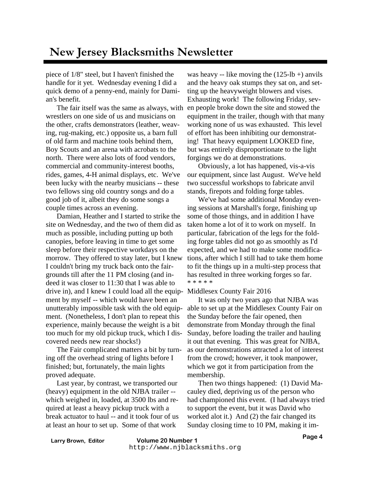piece of 1/8" steel, but I haven't finished the handle for it yet. Wednesday evening I did a quick demo of a penny-end, mainly for Damian's benefit.

 The fair itself was the same as always, with wrestlers on one side of us and musicians on the other, crafts demonstrators (leather, weaving, rug-making, etc.) opposite us, a barn full of old farm and machine tools behind them, Boy Scouts and an arena with acrobats to the north. There were also lots of food vendors, commercial and community-interest booths, rides, games, 4-H animal displays, etc. We've been lucky with the nearby musicians -- these two fellows sing old country songs and do a good job of it, albeit they do some songs a couple times across an evening.

 Damian, Heather and I started to strike the site on Wednesday, and the two of them did as much as possible, including putting up both canopies, before leaving in time to get some sleep before their respective workdays on the morrow. They offered to stay later, but I knew I couldn't bring my truck back onto the fairgrounds till after the 11 PM closing (and indeed it was closer to 11:30 that I was able to drive in), and I knew I could load all the equip-Middlesex County Fair 2016 ment by myself -- which would have been an unutterably impossible task with the old equipment. (Nonetheless, I don't plan to repeat this experience, mainly because the weight is a bit too much for my old pickup truck, which I discovered needs new rear shocks!)

 The Fair complicated matters a bit by turning off the overhead string of lights before I finished; but, fortunately, the main lights proved adequate.

 Last year, by contrast, we transported our (heavy) equipment in the old NJBA trailer - which weighed in, loaded, at 3500 lbs and required at least a heavy pickup truck with a break actuator to haul -- and it took four of us at least an hour to set up. Some of that work

was heavy -- like moving the  $(125-lb+)$  anvils and the heavy oak stumps they sat on, and setting up the heavyweight blowers and vises. Exhausting work! The following Friday, seven people broke down the site and stowed the equipment in the trailer, though with that many working none of us was exhausted. This level of effort has been inhibiting our demonstrating! That heavy equipment LOOKED fine, but was entirely disproportionate to the light forgings we do at demonstrations.

 Obviously, a lot has happened, vis-a-vis our equipment, since last August. We've held two successful workshops to fabricate anvil stands, firepots and folding forge tables.

 We've had some additional Monday evening sessions at Marshall's forge, finishing up some of those things, and in addition I have taken home a lot of it to work on myself. In particular, fabrication of the legs for the folding forge tables did not go as smoothly as I'd expected, and we had to make some modifications, after which I still had to take them home to fit the things up in a multi-step process that has resulted in three working forges so far. \* \* \* \* \*

 It was only two years ago that NJBA was able to set up at the Middlesex County Fair on the Sunday before the fair opened, then demonstrate from Monday through the final Sunday, before loading the trailer and hauling it out that evening. This was great for NJBA, as our demonstrations attracted a lot of interest from the crowd; however, it took manpower, which we got it from participation from the membership.

 Then two things happened: (1) David Macauley died, depriving us of the person who had championed this event. (I had always tried to support the event, but it was David who worked alot it.) And (2) the fair changed its Sunday closing time to 10 PM, making it im-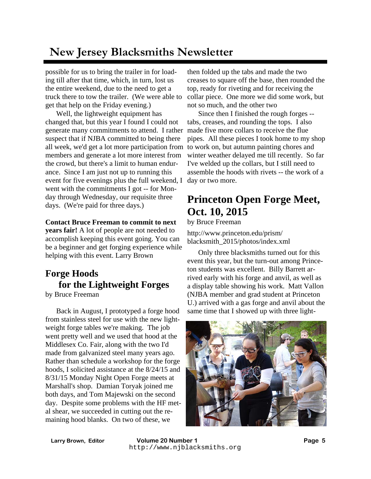possible for us to bring the trailer in for loading till after that time, which, in turn, lost us the entire weekend, due to the need to get a truck there to tow the trailer. (We were able to get that help on the Friday evening.)

 Well, the lightweight equipment has changed that, but this year I found I could not generate many commitments to attend. I rather suspect that if NJBA committed to being there all week, we'd get a lot more participation from members and generate a lot more interest from the crowd, but there's a limit to human endurance. Since I am just not up to running this event for five evenings plus the full weekend, I went with the commitments I got -- for Monday through Wednesday, our requisite three days. (We're paid for three days.)

#### **Contact Bruce Freeman to commit to next**

**years fair!** A lot of people are not needed to accomplish keeping this event going. You can be a beginner and get forging experience while helping with this event. Larry Brown

### **Forge Hoods for the Lightweight Forges**

by Bruce Freeman

 Back in August, I prototyped a forge hood from stainless steel for use with the new lightweight forge tables we're making. The job went pretty well and we used that hood at the Middlesex Co. Fair, along with the two I'd made from galvanized steel many years ago. Rather than schedule a workshop for the forge hoods, I solicited assistance at the 8/24/15 and 8/31/15 Monday Night Open Forge meets at Marshall's shop. Damian Toryak joined me both days, and Tom Majewski on the second day. Despite some problems with the HF metal shear, we succeeded in cutting out the remaining hood blanks. On two of these, we

then folded up the tabs and made the two creases to square off the base, then rounded the top, ready for riveting and for receiving the collar piece. One more we did some work, but not so much, and the other two

 Since then I finished the rough forges - tabs, creases, and rounding the tops. I also made five more collars to receive the flue pipes. All these pieces I took home to my shop to work on, but autumn painting chores and winter weather delayed me till recently. So far I've welded up the collars, but I still need to assemble the hoods with rivets -- the work of a day or two more.

### **Princeton Open Forge Meet, Oct. 10, 2015**

by Bruce Freeman

http://www.princeton.edu/prism/ blacksmith\_2015/photos/index.xml

 Only three blacksmiths turned out for this event this year, but the turn-out among Princeton students was excellent. Billy Barrett arrived early with his forge and anvil, as well as a display table showing his work. Matt Vallon (NJBA member and grad student at Princeton U.) arrived with a gas forge and anvil about the same time that I showed up with three light-

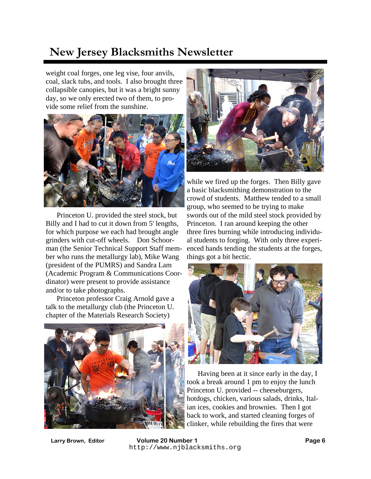weight coal forges, one leg vise, four anvils, coal, slack tubs, and tools. I also brought three collapsible canopies, but it was a bright sunny day, so we only erected two of them, to provide some relief from the sunshine.



 Princeton U. provided the steel stock, but Billy and I had to cut it down from 5' lengths, for which purpose we each had brought angle grinders with cut-off wheels. Don Schoorman (the Senior Technical Support Staff member who runs the metallurgy lab), Mike Wang (president of the PUMRS) and Sandra Lam (Academic Program & Communications Coordinator) were present to provide assistance and/or to take photographs.

 Princeton professor Craig Arnold gave a talk to the metallurgy club (the Princeton U. chapter of the Materials Research Society)





while we fired up the forges. Then Billy gave a basic blacksmithing demonstration to the crowd of students. Matthew tended to a small group, who seemed to be trying to make swords out of the mild steel stock provided by Princeton. I ran around keeping the other three fires burning while introducing individual students to forging. With only three experienced hands tending the students at the forges, things got a bit hectic.



 Having been at it since early in the day, I took a break around 1 pm to enjoy the lunch Princeton U. provided -- cheeseburgers, hotdogs, chicken, various salads, drinks, Italian ices, cookies and brownies. Then I got back to work, and started cleaning forges of clinker, while rebuilding the fires that were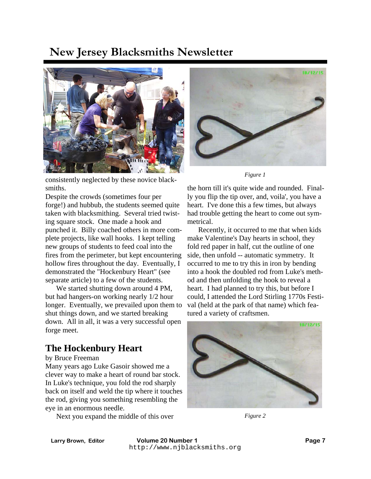

consistently neglected by these novice blacksmiths.

Despite the crowds (sometimes four per forge!) and hubbub, the students seemed quite taken with blacksmithing. Several tried twisting square stock. One made a hook and punched it. Billy coached others in more complete projects, like wall hooks. I kept telling new groups of students to feed coal into the fires from the perimeter, but kept encountering hollow fires throughout the day. Eventually, I demonstrated the "Hockenbury Heart" (see separate article) to a few of the students.

 We started shutting down around 4 PM, but had hangers-on working nearly 1/2 hour longer. Eventually, we prevailed upon them to shut things down, and we started breaking down. All in all, it was a very successful open forge meet.

#### **The Hockenbury Heart**

#### by Bruce Freeman

Many years ago Luke Gasoir showed me a clever way to make a heart of round bar stock. In Luke's technique, you fold the rod sharply back on itself and weld the tip where it touches the rod, giving you something resembling the eye in an enormous needle.

Next you expand the middle of this over



*Figure 1* 

the horn till it's quite wide and rounded. Finally you flip the tip over, and, voila', you have a heart. I've done this a few times, but always had trouble getting the heart to come out symmetrical.

 Recently, it occurred to me that when kids make Valentine's Day hearts in school, they fold red paper in half, cut the outline of one side, then unfold -- automatic symmetry. It occurred to me to try this in iron by bending into a hook the doubled rod from Luke's method and then unfolding the hook to reveal a heart. I had planned to try this, but before I could, I attended the Lord Stirling 1770s Festival (held at the park of that name) which featured a variety of craftsmen.



*Figure 2*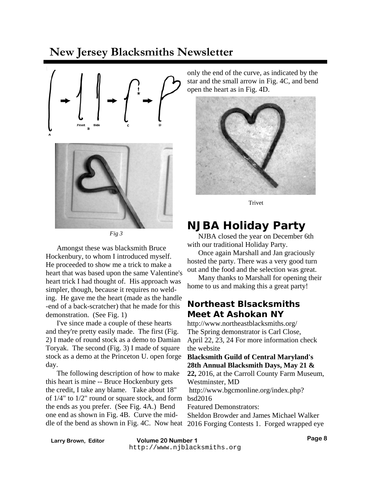



*Fig 3* 

 Amongst these was blacksmith Bruce Hockenbury, to whom I introduced myself. He proceeded to show me a trick to make a heart that was based upon the same Valentine's heart trick I had thought of. His approach was simpler, though, because it requires no welding. He gave me the heart (made as the handle -end of a back-scratcher) that he made for this demonstration. (See Fig. 1)

 I've since made a couple of these hearts and they're pretty easily made. The first (Fig. 2) I made of round stock as a demo to Damian Toryak. The second (Fig. 3) I made of square stock as a demo at the Princeton U. open forge day.

 The following description of how to make this heart is mine -- Bruce Hockenbury gets the credit, I take any blame. Take about 18" of 1/4" to 1/2" round or square stock, and form the ends as you prefer. (See Fig. 4A.) Bend one end as shown in Fig. 4B. Curve the mid-

only the end of the curve, as indicated by the star and the small arrow in Fig. 4C, and bend open the heart as in Fig. 4D.



Trivet

### **NJBA Holiday Party**

 NJBA closed the year on December 6th with our traditional Holiday Party.

 Once again Marshall and Jan graciously hosted the party. There was a very good turn out and the food and the selection was great.

 Many thanks to Marshall for opening their home to us and making this a great party!

#### **Northeast Blsacksmiths Meet At Ashokan NY**

http://www.northeastblacksmiths.org/ The Spring demonstrator is Carl Close, April 22, 23, 24 For more information check the website

#### **Blacksmith Guild of Central Maryland's 28th Annual Blacksmith Days, May 21 &**

**22,** 2016, at the Carroll County Farm Museum, Westminster, MD

 http://www.bgcmonline.org/index.php? bsd2016

Featured Demonstrators:

dle of the bend as shown in Fig. 4C. Now heat 2016 Forging Contests 1. Forged wrapped eye Sheldon Browder and James Michael Walker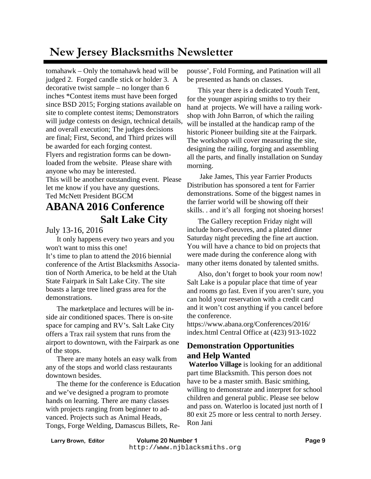tomahawk – Only the tomahawk head will be judged 2. Forged candle stick or holder 3. A decorative twist sample – no longer than 6 inches \*Contest items must have been forged since BSD 2015; Forging stations available on site to complete contest items; Demonstrators will judge contests on design, technical details, and overall execution; The judges decisions are final; First, Second, and Third prizes will be awarded for each forging contest. Flyers and registration forms can be downloaded from the website. Please share with anyone who may be interested.

This will be another outstanding event. Please let me know if you have any questions.

Ted McNett President BGCM

### **ABANA 2016 Conference Salt Lake City**

July 13-16, 2016

 It only happens every two years and you won't want to miss this one! It's time to plan to attend the 2016 biennial conference of the Artist Blacksmiths Association of North America, to be held at the Utah State Fairpark in Salt Lake City. The site boasts a large tree lined grass area for the demonstrations.

 The marketplace and lectures will be inside air conditioned spaces. There is on-site space for camping and RV's. Salt Lake City offers a Trax rail system that runs from the airport to downtown, with the Fairpark as one of the stops.

 There are many hotels an easy walk from any of the stops and world class restaurants downtown besides.

 The theme for the conference is Education and we've designed a program to promote hands on learning. There are many classes with projects ranging from beginner to advanced. Projects such as Animal Heads, Tongs, Forge Welding, Damascus Billets, Repousse', Fold Forming, and Patination will all be presented as hands on classes.

 This year there is a dedicated Youth Tent, for the younger aspiring smiths to try their hand at projects. We will have a railing workshop with John Barron, of which the railing will be installed at the handicap ramp of the historic Pioneer building site at the Fairpark. The workshop will cover measuring the site, designing the railing, forging and assembling all the parts, and finally installation on Sunday morning.

 Jake James, This year Farrier Products Distribution has sponsored a tent for Farrier demonstrations. Some of the biggest names in the farrier world will be showing off their skills. . and it's all forging not shoeing horses!

 The Gallery reception Friday night will include hors-d'oeuvres, and a plated dinner Saturday night preceding the fine art auction. You will have a chance to bid on projects that were made during the conference along with many other items donated by talented smiths.

 Also, don't forget to book your room now! Salt Lake is a popular place that time of year and rooms go fast. Even if you aren't sure, you can hold your reservation with a credit card and it won't cost anything if you cancel before the conference.

https://www.abana.org/Conferences/2016/ index.html Central Office at (423) 913-1022

#### **Demonstration Opportunities and Help Wanted**

**Waterloo Village** is looking for an additional part time Blacksmith. This person does not have to be a master smith. Basic smithing, willing to demonstrate and interpret for school children and general public. Please see below and pass on. Waterloo is located just north of I 80 exit 25 more or less central to north Jersey. Ron Jani